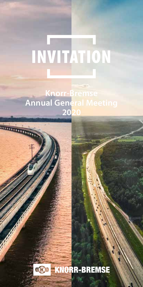# INVITATION

**INVITATION OF ANNUAL GENERAL MEETING 2020**

**Knorr-Bremse Annual General Meeting 2020**

1

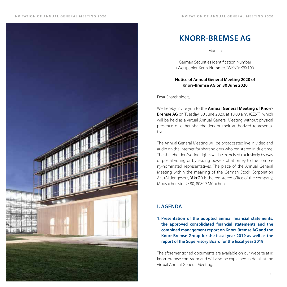

# **KNORR-BREMSE AG**

Munich

German Securities Identification Number (Wertpapier-Kenn-Nummer, "WKN"): KBX100

#### **Notice of Annual General Meeting 2020 of Knorr-Bremse AG on 30 June 2020**

Dear Shareholders,

We hereby invite you to the **Annual General Meeting of Knorr-Bremse AG** on Tuesday, 30 June 2020, at 10:00 a.m. (CEST), which will be held as a virtual Annual General Meeting without physical presence of either shareholders or their authorized representa tives.

The Annual General Meeting will be broadcasted live in video and audio on the internet for shareholders who registered in due time. The shareholders' voting rights will be exercised exclusively by way of postal voting or by issuing powers of attorney to the compa ny-nominated representatives. The place of the Annual General Meeting within the meaning of the German Stock Corporation Act (Aktiengesetz, "**AktG**") is the registered office of the company, Moosacher Straße 80, 80809 München.

# **I. AGENDA**

**1. Presentation of the adopted annual financial statements, the approved consolidated financial statements and the combined management report on Knorr-Bremse AG and the Knorr Bremse Group for the fiscal year 2019 as well as the report of the Supervisory Board for the fiscal year 2019**

The aforementioned documents are available on our website at ir. knorr-bremse.com/agm and will also be explained in detail at the virtual Annual General Meeting.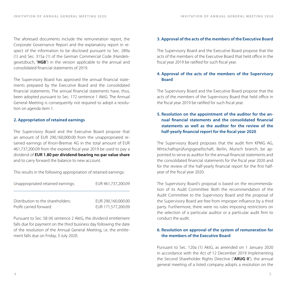The aforesaid documents include the remuneration report, the Corporate Governance Report and the explanatory report in respect of the information to be disclosed pursuant to Sec. 289a (1) and Sec. 315a (1) of the German Commercial Code (Handelsgesetzbuch, "**HGB**") in the version applicable to the annual and consolidated financial statements of 2019.

The Supervisory Board has approved the annual financial statements prepared by the Executive Board and the consolidated financial statements. The annual financial statements have, thus, been adopted pursuant to Sec. 172 sentence 1 AktG. The Annual General Meeting is consequently not required to adopt a resolution on agenda item 1.

#### **2. Appropriation of retained earnings**

The Supervisory Board and the Executive Board propose that an amount of EUR 290,160,000.00 from the unappropriated retained earnings of Knorr-Bremse AG in the total amount of EUR 461,737,200.09 from the expired fiscal year 2019 be used to pay a dividend of **EUR 1.80 per dividend-bearing no-par value share** and to carry forward the balance to new account.

This results in the following appropriation of retained earnings:

| Unappropriated retained earnings: | EUR 461,737,200.09 |
|-----------------------------------|--------------------|
| Distribution to the shareholders: | EUR 290.160.000.00 |
| Profit carried forward:           | EUR 171.577.200.09 |

Pursuant to Sec. 58 (4) sentence 2 AktG, the dividend entitlement falls due for payment on the third business day following the date of the resolution of the Annual General Meeting, i.e. the entitlement falls due on Friday, 3 July 2020.

#### **3. Approval of the acts of the members of the Executive Board**

The Supervisory Board and the Executive Board propose that the acts of the members of the Executive Board that held office in the fiscal year 2019 be ratified for such fiscal year.

#### **4. Approval of the acts of the members of the Supervisory Board**

The Supervisory Board and the Executive Board propose that the acts of the members of the Supervisory Board that held office in the fiscal year 2019 be ratified for such fiscal year.

# **5. Resolution on the appointment of the auditor for the annual financial statements and the consolidated financial statements as well as the auditor for the review of the half-yearly financial report for the fiscal year 2020**

The Supervisory Board proposes that the audit firm KPMG AG, Wirtschaftsprüfungsgesellschaft, Berlin, Munich branch, be appointed to serve as auditor for the annual financial statements and the consolidated financial statements for the fiscal year 2020 and for the review of the half-yearly financial report for the first halfyear of the fiscal year 2020.

The Supervisory Board's proposal is based on the recommendation of its Audit Committee. Both the recommendation of the Audit Committee to the Supervisory Board and the proposal of the Supervisory Board are free from improper influence by a third party. Furthermore, there were no rules imposing restrictions on the selection of a particular auditor or a particular audit firm to conduct the audit.

# **6. Resolution on approval of the system of remuneration for the members of the Executive Board**

Pursuant to Sec. 120a (1) AktG, as amended on 1 January 2020 in accordance with the Act of 12 December 2019 Implementing the Second Shareholder Rights Directive ("**ARUG II**"), the annual general meeting of a listed company adopts a resolution on the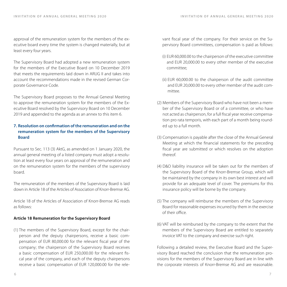approval of the remuneration system for the members of the executive board every time the system is changed materially, but at least every four years.

The Supervisory Board had adopted a new remuneration system for the members of the Executive Board on 10 December 2019 that meets the requirements laid down in ARUG II and takes into account the recommendations made in the revised German Corporate Governance Code.

The Supervisory Board proposes to the Annual General Meeting to approve the remuneration system for the members of the Executive Board resolved by the Supervisory Board on 10 December 2019 and appended to the agenda as an annex to this item 6.

# **7. Resolution on confirmation of the remuneration and on the remuneration system for the members of the Supervisory Board**

Pursuant to Sec. 113 (3) AktG, as amended on 1 January 2020, the annual general meeting of a listed company must adopt a resolution at least every four years on approval of the remuneration and on the remuneration system for the members of the supervisory board.

The remuneration of the members of the Supervisory Board is laid down in Article 18 of the Articles of Association of Knorr-Bremse AG.

Article 18 of the Articles of Association of Knorr-Bremse AG reads as follows:

# **Article 18 Remuneration for the Supervisory Board**

(1) The members of the Supervisory Board, except for the chairperson and the deputy chairpersons, receive a basic compensation of EUR 80,000.00 for the relevant fiscal year of the company; the chairperson of the Supervisory Board receives a basic compensation of EUR 250,000.00 for the relevant fiscal year of the company, and each of the deputy chairpersons receive a basic compensation of EUR 120,000.00 for the relevant fiscal year of the company. For their service on the Supervisory Board committees, compensation is paid as follows:

- (i) EUR 60,000.00 to the chairperson of the executive committee and EUR 20,000.00 to every other member of the executive committee;
- (ii) EUR 60,000.00 to the chairperson of the audit committee and EUR 20,000.00 to every other member of the audit committee.
- (2) Members of the Supervisory Board who have not been a member of the Supervisory Board or of a committee, or who have not acted as chairperson, for a full fiscal year receive compensation pro rata temporis, with each part of a month being rounded up to a full month.
- (3) Compensation is payable after the close of the Annual General Meeting at which the financial statements for the preceding fiscal year are submitted or which resolves on the adoption thereof.
- (4) D&O liability insurance will be taken out for the members of the Supervisory Board of the Knorr-Bremse Group, which will be maintained by the company in its own best interest and will provide for an adequate level of cover. The premiums for this insurance policy will be borne by the company.
- (5) The company will reimburse the members of the Supervisory Board for reasonable expenses incurred by them in the exercise of their office.
- (6) VAT will be reimbursed by the company to the extent that the members of the Supervisory Board are entitled to separately invoice VAT to the company and exercise such right.

Following a detailed review, the Executive Board and the Supervisory Board reached the conclusion that the remuneration provisions for the members of the Supervisory Board are in line with the corporate interests of Knorr-Bremse AG and are reasonable.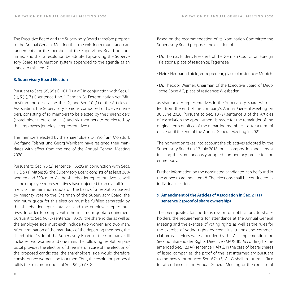The Executive Board and the Supervisory Board therefore propose to the Annual General Meeting that the existing remuneration arrangements for the members of the Supervisory Board be confirmed and that a resolution be adopted approving the Supervisory Board remuneration system appended to the agenda as an annex to this item 7.

#### **8. Supervisory Board Election**

Pursuant to Secs. 95, 96 (1), 101 (1) AktG in conjunction with Secs. 1 (1), 5 (1), 7 (1) sentence 1 no. 1 German Co-Determination Act (Mitbestimmungsgesetz – MitbestG) and Sec. 10 (1) of the Articles of Association, the Supervisory Board is composed of twelve members, consisting of six members to be elected by the shareholders (shareholder representatives) and six members to be elected by the employees (employee representatives).

The members elected by the shareholders Dr. Wolfram Mörsdorf, Wolfgang Tölsner und Georg Weinberg have resigned their mandates with effect from the end of the Annual General Meeting 2020.

Pursuant to Sec. 96 (2) sentence 1 AktG in conjunction with Secs. 1 (1), 5 (1) MitbestG, the Supervisory Board consists of at least 30% women and 30% men. As the shareholder representatives as well as the employee representatives have objected to an overall fulfilment of the minimum quota on the basis of a resolution passed by majority vote to the Chairman of the Supervisory Board, the minimum quota for this election must be fulfilled separately by the shareholder representatives and the employee representatives. In order to comply with the minimum quota requirement pursuant to Sec. 96 (2) sentence 1 AktG, the shareholder as well as the employee side must each include two women and two men. After termination of the mandates of the departing members, the shareholders' side of the Supervisory Board of the Company still includes two women and one man. The following resolution proposal provides the election of three men. In case of the election of the proposed candidates, the shareholders' side would therefore consist of two women and four men. Thus, the resolution proposal fulfils the minimum quota of Sec. 96 (2) AktG.

Based on the recommendation of its Nomination Committee the Supervisory Board proposes the election of

- Dr. Thomas Enders, President of the German Council on Foreign Relations, place of residence: Tegernsee
- Heinz Hermann Thiele, entrepreneur, place of residence: Munich
- Dr. Theodor Weimer, Chairman of the Executive Board of Deutsche Börse AG, place of residence: Wiesbaden

as shareholder representatives in the Supervisory Board with effect from the end of the company's Annual General Meeting on 30 June 2020. Pursuant to Sec. 10 (2) sentence 3 of the Articles of Association the appointment is made for the remainder of the original term of office of the departing members, i.e. for a term of office until the end of the Annual General Meeting in 2021.

The nomination takes into account the objectives adopted by the Supervisory Board on 12 July 2018 for its composition and aims at fulfilling the simultaneously adopted competency profile for the entire body.

Further information on the nominated candidates can be found in the annex to agenda item 8. The elections shall be conducted as individual elections.

# **9. Amendment of the Articles of Association in Sec. 21 (1) sentence 2 (proof of share ownership)**

The prerequisites for the transmission of notifications to shareholders, the requirements for attendance at the Annual General Meeting and the exercise of voting rights as well as the rules for the exercise of voting rights by credit institutions and commercial proxy services were amended by the Act Implementing the Second Shareholder Rights Directive (ARUG II). According to the amended Sec. 123 (4) sentence 1 AktG, in the case of bearer shares of listed companies, the proof of the last intermediary pursuant to the newly introduced Sec. 67c (3) AktG shall in future suffice for attendance at the Annual General Meeting or the exercise of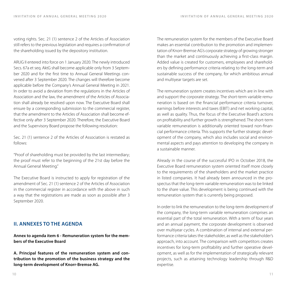voting rights. Sec. 21 (1) sentence 2 of the Articles of Association still refers to the previous legislation and requires a confirmation of the shareholding issued by the depository institution.

ARUG II entered into force on 1 January 2020. The newly introduced Secs. 67a et seq. AktG shall become applicable only from 3 September 2020 and for the first time to Annual General Meetings convened after 3 September 2020. The changes will therefore become applicable before the Company's Annual General Meeting in 2021. In order to avoid a deviation from the regulations in the Articles of Association and the law, the amendment of the Articles of Association shall already be resolved upon now. The Executive Board shall ensure by a corresponding submission to the commercial register, that the amendment to the Articles of Association shall become effective only after 3 September 2020. Therefore, the Executive Board and the Supervisory Board propose the following resolution:

Sec. 21 (1) sentence 2 of the Articles of Association is restated as follows:

"Proof of shareholding must be provided by the last intermediary; the proof must refer to the beginning of the 21st day before the Annual General Meeting."

The Executive Board is instructed to apply for registration of the amendment of Sec. 21 (1) sentence 2 of the Articles of Association in the commercial register in accordance with the above in such a way that the registrations are made as soon as possible after 3 September 2020.

# **II. ANNEXES TO THE AGENDA**

**Annex to agenda item 6 - Remuneration system for the members of the Executive Board**

**A. Principal features of the remuneration system and contribution to the promotion of the business strategy and the long-term development of Knorr-Bremse AG.**

The remuneration system for the members of the Executive Board makes an essential contribution to the promotion and implementation of Knorr-Bremse AG's corporate strategy of growing stronger than the market and continuously achieving a first-class margin. Added value is created for customers, employees and shareholders by defining performance criteria relating to the long-term and sustainable success of the company, for which ambitious annual and multiyear targets are set.

The remuneration system creates incentives which are in line with and support the corporate strategy. The short-term variable remuneration is based on the financial performance criteria turnover, earnings before interests and taxes (EBIT) and net working capital, as well as quality. Thus, the focus of the Executive Board's actions on profitability and further growth is strengthened. The short-term variable remuneration is additionally oriented toward non-financial performance criteria. This supports the further strategic development of the company, which also includes social and environmental aspects and pays attention to developing the company in a sustainable manner.

Already in the course of the successful IPO in October 2018, the Executive Board remuneration system oriented itself more closely to the requirements of the shareholders and the market practice in listed companies. It had already been announced in the prospectus that the long-term variable remuneration was to be linked to the share value. This development is being continued with the remuneration system that is currently being proposed.

In order to link the remuneration to the long-term development of the company, the long-term variable remuneration comprises an essential part of the total remuneration. With a term of four years and an annual payment, the corporate development is observed over multiyear cycles. A combination of internal and external performance criteria takes the stakeholder, as well as the stakeholder's approach, into account. The comparison with competitors creates incentives for long-term profitability and further operative development, as well as for the implementation of strategically relevant projects, such as attaining technology leadership through R&D expertise.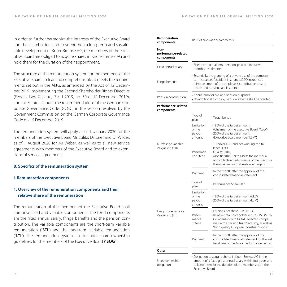In order to further harmonize the interests of the Executive Board and the shareholders and to strengthen a long-term and sustainable development of Knorr-Bremse AG, the members of the Executive Board are obliged to acquire shares in Knorr-Bremse AG and hold them for the duration of their appointment.

The structure of the remuneration system for the members of the Executive Board is clear and comprehensible. It meets the requirements set out in the AktG, as amended by the Act of 12 December 2019 Implementing the Second Shareholder Rights Directive (Federal Law Gazette, Part I 2019, no. 50 of 19 December 2019), and takes into account the recommendations of the German Corporate Governance Code (GCGC) in the version resolved by the Government Commission on the German Corporate Governance Code on 16 December 2019.

The remuneration system will apply as of 1 January 2020 for the members of the Executive Board Mr Eulitz, Dr Laier and Dr Wilder, as of 1 August 2020 for Mr Weber, as well as to all new service agreements with members of the Executive Board and to extensions of service agreements.

#### **B. Specifics of the remuneration system**

#### **I. Remuneration components**

# **1. Overview of the remuneration components and their relative share of the remuneration**

The remuneration of the members of the Executive Board shall comprise fixed and variable components. The fixed components are the fixed annual salary, fringe benefits and the pension contribution. The variable components are the short-term variable remuneration ("**STI**") and the long-term variable remuneration ("**LTI**"). The remuneration system also includes share ownership guidelines for the members of the Executive Board ("**SOG**").

| Remuneration<br>components                | Basis of calculation/parameters                                                                                                                                                                                 |                                                                                                                                                                                                                                 |
|-------------------------------------------|-----------------------------------------------------------------------------------------------------------------------------------------------------------------------------------------------------------------|---------------------------------------------------------------------------------------------------------------------------------------------------------------------------------------------------------------------------------|
| Non-<br>performance-related<br>components |                                                                                                                                                                                                                 |                                                                                                                                                                                                                                 |
| Fixed annual salary                       | · Fixed contractual remuneration, paid out in twelve<br>monthly instalments                                                                                                                                     |                                                                                                                                                                                                                                 |
| Fringe benefits                           | • Essentially, the granting of a private use of the company<br>car, insurances (accident insurance, D&O insurance),<br>reimbursement of the employer's contribution toward<br>health and nursing care insurance |                                                                                                                                                                                                                                 |
| Pension contribution                      | • Annual sum for old-age pension purposes<br>· No additional company pension scheme shall be granted.                                                                                                           |                                                                                                                                                                                                                                 |
| Performance-related<br>components         |                                                                                                                                                                                                                 |                                                                                                                                                                                                                                 |
|                                           | Type of<br>plan                                                                                                                                                                                                 | • Target bonus                                                                                                                                                                                                                  |
|                                           | Limitation<br>of the<br>payout<br>amount                                                                                                                                                                        | • 180% of the target amount<br>(Chairman of the Executive Board, "CEO")<br>• 200% of the target amount<br>(Executive Board member "EBM")                                                                                        |
| Kurzfristige variable<br>Vergütung (STI)  | Performan-<br>ce criteria                                                                                                                                                                                       | • Turnover, EBIT and net working capital<br>(each 30%)<br>• Quality (10%)<br>• Modifier (0.8-1.2) to assess the individual<br>and collective performance of the Executive<br>Board, as well as of stakeholder targets           |
|                                           | Payment                                                                                                                                                                                                         | . In the month after the approval of the<br>consolidated financial statement                                                                                                                                                    |
|                                           | Type of<br>plan                                                                                                                                                                                                 | · Performance Share Plan                                                                                                                                                                                                        |
| Langfristige variable<br>Vergütung (LTI)  | Limitation<br>of the<br>payout<br>amount                                                                                                                                                                        | • 180% of the target amount (CEO)<br>• 200% of the target amount (EBM)                                                                                                                                                          |
|                                           | Perfor-<br>mance<br>criteria                                                                                                                                                                                    | · Earnings per share - EPS (50 %)<br>• Relative total shareholder return - TSR (50 %)<br>Comparison with MDAX, selected compa-<br>nies in the "rail and truck" industry, as well as<br>"high quality European Industrial Goods" |
|                                           | Payment                                                                                                                                                                                                         | . In the month after the approval of the<br>consolidated financial statement for the last<br>fiscal year of the 4-year Performance Period.                                                                                      |
| Other                                     |                                                                                                                                                                                                                 |                                                                                                                                                                                                                                 |
| Share ownership<br>obligation             | Executive Board                                                                                                                                                                                                 | • Obligation to acquire shares in Knorr-Bremse AG in the<br>amount of a fixed gross annual salary within four years and<br>to keep them for the duration of the membership in the                                               |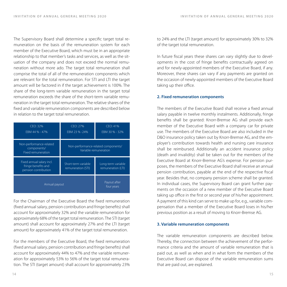The Supervisory Board shall determine a specific target total remuneration on the basis of the remuneration system for each member of the Executive Board, which must be in an appropriate relationship to that member's tasks and services, as well as the situation of the company and does not exceed the normal remuneration without more ado. The target total remuneration shall comprise the total of all of the remuneration components which are relevant for the total remuneration. For STI and LTI the target amount will be factored in if the target achievement is 100%. The share of the long-term variable remuneration in the target total remuneration exceeds the share of the short-term variable remuneration in the target total remuneration. The relative shares of the fixed and variable remuneration components are described below in relation to the target total remuneration.

| CFO: 32%<br>FBM 44 % - 47%                                               | CFO: 27%<br>FBM 23 % -24%                                    | CFO:41%<br>EBM 30 % - 32%                |
|--------------------------------------------------------------------------|--------------------------------------------------------------|------------------------------------------|
| Non-performance-related<br>components/<br><b>Fixed remuneration</b>      | Non-performance-related components/<br>Variable remuneration |                                          |
| Fixed annual salary incl.<br>fringe benefits and<br>pension contribution | Short-term variable<br>remuneration (STI)                    | Long-term variable<br>remuneration (LTI) |
| Annual payout                                                            |                                                              | Payout after<br>four years               |

For the Chairman of the Executive Board the fixed remuneration (fixed annual salary, pension contribution and fringe benefits) shall account for approximately 32% and the variable remuneration for approximately 68% of the target total remuneration. The STI (target amount) shall account for approximately 27% and the LTI (target amount) for approximately 41% of the target total remuneration.

For the members of the Executive Board, the fixed remuneration (fixed annual salary, pension contribution and fringe benefits) shall account for approximately 44% to 47% and the variable remuneration for approximately 53% to 56% of the target total remuneration. The STI (target amount) shall account for approximately 23% to 24% and the LTI (target amount) for approximately 30% to 32% of the target total remuneration.

In future fiscal years these shares can vary slightly due to developments in the cost of fringe benefits contractually agreed on and for newly-appointed members of the Executive Board, if any. Moreover, these shares can vary if any payments are granted on the occasion of newly-appointed members of the Executive Board taking up their office.

#### **2. Fixed remuneration components**

The members of the Executive Board shall receive a fixed annual salary payable in twelve monthly instalments. Additionally, fringe benefits shall be granted: Knorr-Bremse AG shall provide each member of the Executive Board with a company car for private use. The members of the Executive Board are also included in the D&O insurance policy taken out by Knorr-Bremse AG, and the employer's contribution towards health and nursing care insurance shall be reimbursed. Additionally an accident insurance policy (death and invalidity) shall be taken out for the members of the Executive Board at Knorr-Bremse AG's expense. For pension purposes, the members of the Executive Board shall receive an annual pension contribution, payable at the end of the respective fiscal year. Besides that, no company pension scheme shall be granted. In individual cases, the Supervisory Board can grant further payments on the occasion of a new member of the Executive Board taking up office in the first or second year of his/her appointment. A payment of this kind can serve to make up for, e.g., variable compensation that a member of the Executive Board loses in his/her previous position as a result of moving to Knorr-Bremse AG.

#### **3. Variable remuneration components**

The variable remuneration components are described below. Thereby, the connection between the achievement of the performance criteria and the amount of variable remuneration that is paid out, as well as when and in what form the members of the Executive Board can dispose of the variable remuneration sums that are paid out, are explained.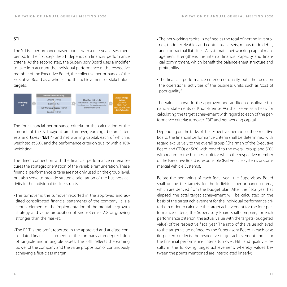#### **STI**

The STI is a performance-based bonus with a one-year assessment period. In the first step, the STI depends on financial performance criteria. As the second step, the Supervisory Board uses a modifier to take into account the individual performance of the respective member of the Executive Board, the collective performance of the Executive Board as a whole, and the achievement of stakeholder targets.



The four financial performance criteria for the calculation of the amount of the STI payout are: turnover, earnings before interests and taxes ("**EBIT**") and net working capital, each of which is weighted at 30% and the performance criterion quality with a 10% weighting.

The direct connection with the financial performance criteria secures the strategic orientation of the variable remuneration. These financial performance criteria are not only used on the group level, but also serve to provide strategic orientation of the business activity in the individual business units.

- The turnover is the turnover reported in the approved and audited consolidated financial statements of the company. It is a central element of the implementation of the profitable growth strategy and value proposition of Knorr-Bremse AG of growing stronger than the market.
- The EBIT is the profit reported in the approved and audited consolidated financial statements of the company after depreciation of tangible and intangible assets. The EBIT reflects the earning power of the company and the value proposition of continuously achieving a first-class margin.
- The net working capital is defined as the total of netting inventories, trade receivables and contractual assets, minus trade debts, and contractual liabilities. A systematic net working capital management strengthens the internal financial capacity and financial commitment, which benefit the balance-sheet structure and profitability.
- The financial performance criterion of quality puts the focus on the operational activities of the business units, such as "cost of poor quality".

The values shown in the approved and audited consolidated financial statements of Knorr-Bremse AG shall serve as a basis for calculating the target achievement with regard to each of the performance criteria: turnover, EBIT and net working capital.

Depending on the tasks of the respective member of the Executive Board, the financial performance criteria shall be determined with regard exclusively to the overall group (Chairman of the Executive Board and CFO) or 50% with regard to the overall group and 50% with regard to the business unit for which the respective member of the Executive Board is responsible (Rail Vehicle Systems or Commercial Vehicle Systems).

Before the beginning of each fiscal year, the Supervisory Board shall define the targets for the individual performance criteria, which are derived from the budget plan. After the fiscal year has elapsed, the total target achievement will be calculated on the basis of the target achievement for the individual performance criteria. In order to calculate the target achievement for the four performance criteria, the Supervisory Board shall compare, for each performance criterion, the actual value with the targets (budgeted value) of the respective fiscal year. The ratio of the value achieved to the target value defined by the Supervisory Board in each case (in percent) reflects the respective target achievement and – for the financial performance criteria turnover, EBIT and quality – results in the following target achievement, whereby values between the points mentioned are interpolated linearly: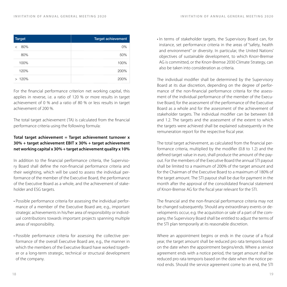| <b>Target</b>  | Target achievement |
|----------------|--------------------|
| 80%<br>$\,<\,$ | 0%                 |
| 80%            | 50%                |
| 100%           | 100%               |
| 120%           | 200%               |
| >120%          | 200%               |

For the financial performance criterion net working capital, this applies in reverse, i.e. a ratio of 120 % or more results in target achievement of 0 % and a ratio of 80 % or less results in target achievement of 200 %.

The total target achievement (TA) is calculated from the financial performance criteria using the following formula:

# **Total target achievement = Target achievement turnover x 30% + target achievement EBIT x 30% + target achievement net working capital x 30% + target achievement quality x 10%**

In addition to the financial performance criteria, the Supervisory Board shall define the non-financial performance criteria and their weighting, which will be used to assess the individual performance of the member of the Executive Board, the performance of the Executive Board as a whole, and the achievement of stakeholder and ESG targets.

- Possible performance criteria for assessing the individual performance of a member of the Executive Board are, e.g., important strategic achievements in his/her area of responsibility or individual contributions towards important projects spanning multiple areas of responsibility.
- Possible performance criteria for assessing the collective performance of the overall Executive Board are, e.g., the manner in which the members of the Executive Board have worked together or a long-term strategic, technical or structural development of the company.

• In terms of stakeholder targets, the Supervisory Board can, for instance, set performance criteria in the areas of "safety, health and environment" or diversity. In particular, the United Nations' objectives of sustainable development, to which Knorr-Bremse AG is committed, or the Knorr-Bremse 2030 Climate Strategy, can also be taken into consideration as criteria.

The individual modifier shall be determined by the Supervisory Board at its due discretion, depending on the degree of performance of the non-financial performance criteria for the assessment of the individual performance of the member of the Executive Board, for the assessment of the performance of the Executive Board as a whole and for the assessment of the achievement of stakeholder targets. The individual modifier can be between 0.8 and 1.2. The targets and the assessment of the extent to which the targets were achieved shall be explained subsequently in the remuneration report for the respective fiscal year.

The total target achievement, as calculated from the financial performance criteria, multiplied by the modifier (0.8 to 1.2) and the defined target value in euro, shall produce the amount of the payout. For the members of the Executive Board the annual STI payout shall be limited to a maximum of 200% of the target amount and for the Chairman of the Executive Board to a maximum of 180% of the target amount. The STI payout shall be due for payment in the month after the approval of the consolidated financial statement of Knorr-Bremse AG for the fiscal year relevant for the STI.

The financial and the non-financial performance criteria may not be changed subsequently. Should any extraordinary events or developments occur, e.g. the acquisition or sale of a part of the company, the Supervisory Board shall be entitled to adjust the terms of the STI plan temporarily at its reasonable discretion.

Where an appointment begins or ends in the course of a fiscal year, the target amount shall be reduced pro rata temporis based on the date when the appointment begins/ends. Where a service agreement ends with a notice period, the target amount shall be reduced pro rata temporis based on the date when the notice period ends. Should the service agreement come to an end, the STI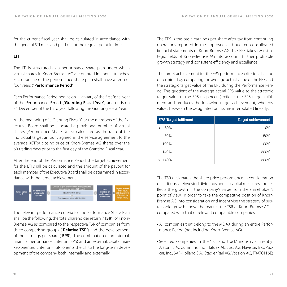for the current fiscal year shall be calculated in accordance with the general STI rules and paid out at the regular point in time.

# **LTI**

The LTI is structured as a performance share plan under which virtual shares in Knorr-Bremse AG are granted in annual tranches. Each tranche of the performance share plan shall have a term of four years ("**Performance Period**").

Each Performance Period begins on 1 January of the first fiscal year of the Performance Period ("**Granting Fiscal Year**") and ends on 31 December of the third year following the Granting Fiscal Year.

At the beginning of a Granting Fiscal Year the members of the Executive Board shall be allocated a provisional number of virtual shares (Performance Share Units), calculated as the ratio of the individual target amount agreed in the service agreement to the average XETRA closing price of Knorr-Bremse AG shares over the 60 trading days prior to the first day of the Granting Fiscal Year.

After the end of the Performance Period, the target achievement for the LTI shall be calculated and the amount of the payout for each member of the Executive Board shall be determined in accordance with the target achievement.



The relevant performance criteria for the Performance Share Plan shall be the following: the total shareholder return ("**TSR**") of Knorr-Bremse AG as compared to the respective TSR of companies from three comparison groups ("**Relative TSR**") and the development of the earnings per share ("**EPS**"). The combination of an internal, financial performance criterion (EPS) and an external, capital market-oriented criterion (TSR) orients the LTI to the long-term development of the company both internally and externally.

The EPS is the basic earnings per share after tax from continuing operations reported in the approved and audited consolidated financial statements of Knorr-Bremse AG. The EPS takes two strategic fields of Knorr-Bremse AG into account: further profitable growth strategy and consistent efficiency and excellence.

The target achievement for the EPS performance criterion shall be determined by comparing the average actual value of the EPS and the strategic target value of the EPS during the Performance Period. The quotient of the average actual EPS value to the strategic target value of the EPS (in percent) reflects the EPS target fulfilment and produces the following target achievement, whereby values between the designated points are interpolated linearly:

| <b>EPS</b> Target fulfilment | <b>Target achievement</b> |
|------------------------------|---------------------------|
| 80%<br>✓                     | 0%                        |
| 80%                          | 50%                       |
| 100%                         | 100%                      |
| 140%                         | 200%                      |
| >140%                        | 200%                      |

The TSR designates the share price performance in consideration of fictitiously reinvested dividends and all capital measures and reflects the growth in the company's value from the shareholder's point of view. In order to take the competitive position of Knorr-Bremse AG into consideration and incentivise the strategy of sustainable growth above the market, the TSR of Knorr-Bremse AG is compared with that of relevant comparable companies.

- All companies that belong to the MDAX during an entire Performance Period (not including Knorr-Bremse AG)
- Selected companies in the "rail and truck" industry (currently: Alstom S.A., Cummins, Inc., Haldex AB, Jost AG, Navistar, Inc., Paccar, Inc., SAF-Holland S.A., Stadler Rail AG, Vossloh AG, TRATON SE)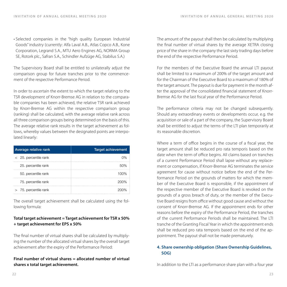• Selected companies in the "high quality European Industrial Goods" industry (currently: Alfa Laval A.B., Atlas Copco A.B., Kone Corporation, Legrand S.A., MTU Aero Engines AG, NORMA Group SE, Rotork plc., Safran S.A., Schindler Aufzüge AG, Stabilus S.A.)

The Supervisory Board shall be entitled to unilaterally adjust the comparison group for future tranches prior to the commencement of the respective Performance Period.

In order to ascertain the extent to which the target relating to the TSR development of Knorr-Bremse AG in relation to the comparable companies has been achieved, the relative TSR rank achieved by Knorr-Bremse AG within the respective comparison group (ranking) shall be calculated, with the average relative rank across all three comparison groups being determined on the basis of this. The average relative rank results in the target achievement as follows, whereby values between the designated points are interpolated linearly:

| Average relative rank   | <b>Target achievement</b> |
|-------------------------|---------------------------|
| $<$ 25. percentile rank | 0%                        |
| 25. percentile rank     | 50%                       |
| 50. percentile rank     | 100%                      |
| 75. percentile rank     | 200%                      |
| $> 75.$ percentile rank | 200%                      |

The overall target achievement shall be calculated using the following formula:

### **Total target achievement = Target achievement for TSR x 50% + target achievement for EPS x 50%**

The final number of virtual shares shall be calculated by multiplying the number of the allocated virtual shares by the overall target achievement after the expiry of the Performance Period:

**Final number of virtual shares = allocated number of virtual shares x total target achievement.**

The amount of the payout shall then be calculated by multiplying the final number of virtual shares by the average XETRA closing price of the share in the company the last sixty trading days before the end of the respective Performance Period.

For the members of the Executive Board the annual LTI payout shall be limited to a maximum of 200% of the target amount and for the Chairman of the Executive Board to a maximum of 180% of the target amount. The payout is due for payment in the month after the approval of the consolidated financial statement of Knorr-Bremse AG for the last fiscal year of the Performance Period.

The performance criteria may not be changed subsequently. Should any extraordinary events or developments occur, e.g. the acquisition or sale of a part of the company, the Supervisory Board shall be entitled to adjust the terms of the LTI plan temporarily at its reasonable discretion.

Where a term of office begins in the course of a fiscal year, the target amount shall be reduced pro rata temporis based on the date when the term of office begins. All claims based on tranches of a current Performance Period shall lapse without any replacement or compensation, if Knorr-Bremse AG terminates the service agreement for cause without notice before the end of the Performance Period on the grounds of matters for which the member of the Executive Board is responsible, if the appointment of the respective member of the Executive Board is revoked on the grounds of a gross breach of duty, or the member of the Executive Board resigns from office without good cause and without the consent of Knorr-Bremse AG. If the appointment ends for other reasons before the expiry of the Performance Period, the tranches of the current Performance Periods shall be maintained. The LTI tranche of the Granting Fiscal Year in which the appointment ends shall be reduced pro rata temporis based on the end of the appointment. The payout shall not be made prematurely.

#### **4. Share ownership obligation (Share Ownership Guidelines, SOG)**

In addition to the LTI as a performance share plan with a four year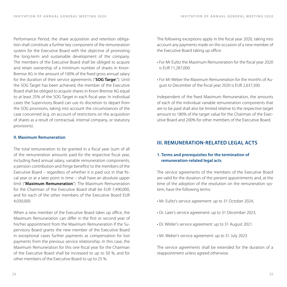Performance Period, the share acquisition and retention obligation shall constitute a further key component of the remuneration system for the Executive Board with the objective of promoting the long-term and sustainable development of the company. The members of the Executive Board shall be obliged to acquire and retain ownership of a minimum number of shares in Knorr-Bremse AG in the amount of 100% of the fixed gross annual salary for the duration of their service agreements ("**SOG Targe**t"). Until the SOG Target has been achieved, the member of the Executive Board shall be obliged to acquire shares in Knorr-Bremse AG equal to at least 25% of the SOG Target in each fiscal year. In individual cases the Supervisory Board can use its discretion to depart from the SOG provisions, taking into account the circumstances of the case concerned (e.g. on account of restrictions on the acquisition of shares as a result of contractual, internal company, or statutory provisions).

#### **II. Maximum Remuneration**

The total remuneration to be granted in a fiscal year (sum of all of the remuneration amounts paid for the respective fiscal year, including fixed annual salary, variable remuneration components, a pension contribution and fringe benefits) to the members of the Executive Board – regardless of whether it is paid out in that fiscal year or at a later point in time – shall have an absolute upper limit ("**Maximum Remuneration**"). The Maximum Remuneration for the Chairman of the Executive Board shall be EUR 7,490,000, and for each of the other members of the Executive Board EUR 4,030,000.

When a new member of the Executive Board takes up office, the Maximum Remuneration can differ in the first or second year of his/her appointment from the Maximum Remuneration if the Supervisory Board grants the new member of the Executive Board in exceptional cases further payments as compensation for lost payments from the previous service relationship. In this case, the Maximum Remuneration for this one fiscal year for the Chairman of the Executive Board shall be increased to up to 50 %, and for other members of the Executive Board to up to 25 %.

The following exceptions apply in the fiscal year 2020, taking into account any payments made on the occasion of a new member of the Executive Board taking up office:

- For Mr Eulitz the Maximum Remuneration for the fiscal year 2020 is EUR 11,287,000.
- For Mr Weber the Maximum Remuneration for the months of August to December of the fiscal year 2020 is EUR 2,637,500.

Independent of the fixed Maximum Remuneration, the amounts of each of the individual variable remuneration components that are to be paid shall also be limited relative to the respective target amount to 180% of the target value for the Chairman of the Executive Board and 200% for other members of the Executive Board.

# **III. REMUNERATION-RELATED LEGAL ACTS**

# **1. Terms and prerequisites for the termination of remuneration-related legal acts**

The service agreements of the members of the Executive Board are valid for the duration of the present appointments and, at the time of the adoption of the resolution on the remuneration system, have the following terms:

- Mr. Eulitz's service agreement: up to 31 October 2024,
- Dr. Laier's service agreement: up to 31 December 2023,
- Dr. Wilder's service agreement: up to 31 August 2021.
- Mr. Weber's service agreement: up to 31 July 2023

The service agreements shall be extended for the duration of a reappointment unless agreed otherwise.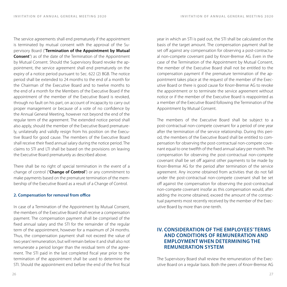The service agreements shall end prematurely if the appointment is terminated by mutual consent with the approval of the Supervisory Board ("**Termination of the Appointment by Mutual Consent**") as of the date of the Termination of the Appointment by Mutual Consent. Should the Supervisory Board revoke the appointment, the service agreement shall end prematurely on the expiry of a notice period pursuant to Sec. 622 (2) BGB. The notice period shall be extended to 24 months to the end of a month for the Chairman of the Executive Board and to twelve months to the end of a month for the Members of the Executive Board if the appointment of the member of the Executive Board is revoked, through no fault on his part, on account of incapacity to carry out proper management or because of a vote of no confidence by the Annual General Meeting, however not beyond the end of the regular term of the agreement. The extended notice period shall also apply, should the member of the Executive Board prematurely, unilaterally and validly resign from his position on the Executive Board for good cause. The members of the Executive Board shall receive their fixed annual salary during the notice period. The claims to STI and LTI shall be based on the provisions on leaving the Executive Board prematurely as described above.

There shall be no right of special termination in the event of a change of control ("**Change of Control**") or any commitment to make payments based on the premature termination of the membership of the Executive Board as a result of a Change of Control.

#### **2. Compensation for removal from office**

In case of a Termination of the Appointment by Mutual Consent, the members of the Executive Board shall receive a compensation payment. The compensation payment shall be comprised of the fixed annual salary and the STI for the remainder of the regular term of the appointment, however for a maximum of 24 months. Thus, the compensation payment shall not exceed the value of two years' remuneration, but will remain below it and shall also not remunerate a period longer than the residual term of the agreement. The STI paid in the last completed fiscal year prior to the termination of the appointment shall be used to determine the STI. Should the appointment end before the end of the first fiscal

year in which an STI is paid out, the STI shall be calculated on the basis of the target amount. The compensation payment shall be set off against any compensation for observing a post-contractual non-compete covenant paid by Knorr-Bremse AG. Even in the case of the Termination of the Appointment by Mutual Consent, the member of the Executive Board shall not be entitled to the compensation payment if the premature termination of the appointment takes place at the request of the member of the Executive Board or there is good cause for Knorr-Bremse AG to revoke the appointment or to terminate the service agreement without notice or if the member of the Executive Board is reappointed as a member of the Executive Board following the Termination of the Appointment by Mutual Consent.

The members of the Executive Board shall be subject to a post-contractual non-compete covenant for a period of one year after the termination of the service relationship. During this period, the members of the Executive Board shall be entitled to compensation for observing the post-contractual non-compete covenant equal to one twelfth of the fixed annual salary per month. The compensation for observing the post-contractual non-compete covenant shall be set off against other payments to be made by Knorr-Bremse AG for the period after termination of the service agreement. Any income obtained from activities that do not fall under the post-contractual non-compete covenant shall be set off against the compensation for observing the post-contractual non-compete covenant insofar as this compensation would, after adding the income obtained, exceed the amount of the contractual payments most recently received by the member of the Executive Board by more than one-tenth.

# **IV. CONSIDERATION OF THE EMPLOYEES' TERMS AND CONDITIONS OF REMUNERATION AND EMPLOYMENT WHEN DETERMINING THE REMUNERATION SYSTEM**

The Supervisory Board shall review the remuneration of the Executive Board on a regular basis. Both the peers of Knorr-Bremse AG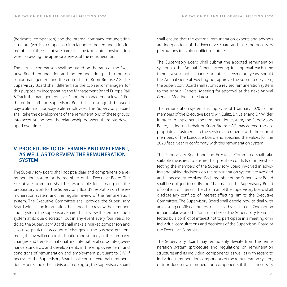(horizontal comparison) and the internal company remuneration structure (vertical comparison in relation to the remuneration for members of the Executive Board) shall be taken into consideration when assessing the appropriateness of the remuneration.

The vertical comparison shall be based on the ratio of the Executive Board remuneration and the remuneration paid to the top senior management and the entire staff of Knorr-Bremse AG. The Supervisory Board shall differentiate the top senior managers for this purpose by incorporating the Management Board Europe Rail & Track, the management level 1 and the management level 2. For the entire staff, the Supervisory Board shall distinguish between pay-scale and non-pay-scale employees. The Supervisory Board shall take the development of the remunerations of these groups into account and how the relationship between them has developed over time.

# **V. PROCEDURE TO DETERMINE AND IMPLEMENT, AS WELL AS TO REVIEW THE REMUNERATION SYSTEM**

The Supervisory Board shall adopt a clear and comprehensible remuneration system for the members of the Executive Board. The Executive Committee shall be responsible for carrying out the preparatory work for the Supervisory Board's resolution on the remuneration system and the regular review of the remuneration system. The Executive Committee shall provide the Supervisory Board with all the information that it needs to review the remuneration system. The Supervisory Board shall review the remuneration system at its due discretion, but in any event every four years. To do so, the Supervisory Board shall make a market comparison and also take particular account of changes in the business environment, the overall economic situation and strategy of the company, changes and trends in national and international corporate governance standards, and developments in the employees' term and conditions of remuneration and employment pursuant to B.IV. If necessary, the Supervisory Board shall consult external remuneration experts and other advisors. In doing so, the Supervisory Board

28 декември – Союза и Союза и Союза и Союза и Союза и Союза и Союза и Союза и Союза и Союза и Союза и Союза и<br>28 декември – Союза и Союза и Союза и Союза и Союза и Союза и Союза и Союза и Союза и Союза и Союза и Союза и

shall ensure that the external remuneration experts and advisors are independent of the Executive Board and take the necessary precautions to avoid conflicts of interest.

The Supervisory Board shall submit the adopted remuneration system to the Annual General Meeting for approval each time there is a substantial change, but at least every four years. Should the Annual General Meeting not approve the submitted system, the Supervisory Board shall submit a revised remuneration system to the Annual General Meeting for approval at the next Annual General Meeting at the latest.

The remuneration system shall apply as of 1 January 2020 for the members of the Executive Board Mr. Eulitz, Dr. Laier and Dr. Wilder. In order to implement the remuneration system, the Supervisory Board, acting on behalf of Knorr-Bremse AG, has agreed the appropriate adjustments to the service agreements with the current members of the Executive Board and specified the values for the 2020 fiscal year in conformity with this remuneration system.

The Supervisory Board and the Executive Committee shall take suitable measures to ensure that possible conflicts of interest affecting the members of the Supervisory Board involved in advising and taking decisions on the remuneration system are avoided and, if necessary, resolved. Each member of the Supervisory Board shall be obliged to notify the Chairman of the Supervisory Board of conflicts of interest. The Chairman of the Supervisory Board shall disclose any conflicts of interest affecting him to the Executive Committee. The Supervisory Board shall decide how to deal with an existing conflict of interest on a case-by-case basis. One option in particular would be for a member of the Supervisory Board affected by a conflict of interest not to participate in a meeting or in individual consultations and decisions of the Supervisory Board or the Executive Committee.

The Supervisory Board may temporarily deviate from the remuneration system (procedure and regulations on remuneration structure) and its individual components, as well as with regard to individual remuneration components of the remuneration system, or introduce new remuneration components if this is necessary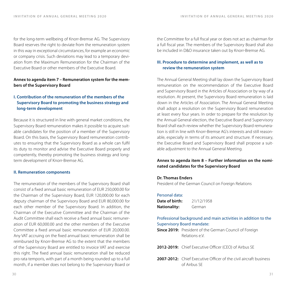for the long-term wellbeing of Knorr-Bremse AG. The Supervisory Board reserves the right to deviate from the remuneration system in this way in exceptional circumstances, for example an economic or company crisis. Such deviations may lead to a temporary deviation from the Maximum Remuneration for the Chairman of the Executive Board or other members of the Executive Board.

#### **Annex to agenda item 7 – Remuneration system for the members of the Supervisory Board**

# **I. Contribution of the remuneration of the members of the Supervisory Board to promoting the business strategy and long-term development**

Because it is structured in line with general market conditions, the Supervisory Board remuneration makes it possible to acquire suitable candidates for the position of a member of the Supervisory Board. On this basis, the Supervisory Board remuneration contributes to ensuring that the Supervisory Board as a whole can fulfil its duty to monitor and advise the Executive Board properly and competently, thereby promoting the business strategy and longterm development of Knorr-Bremse AG.

#### **II. Remuneration components**

The remuneration of the members of the Supervisory Board shall consist of a fixed annual basic remuneration of EUR 250,000.00 for the Chairman of the Supervisory Board, EUR 120,000.00 for each deputy chairman of the Supervisory Board and EUR 80,000.00 for each other member of the Supervisory Board. In addition, the Chairman of the Executive Committee and the Chairman of the Audit Committee shall each receive a fixed annual basic remuneration of EUR 60,000.00 and the other members of the Executive Committee a fixed annual basic remuneration of EUR 20,000.00. Any VAT accruing on the fixed annual basic remuneration shall be reimbursed by Knorr-Bremse AG to the extent that the members of the Supervisory Board are entitled to invoice VAT and exercise this right. The fixed annual basic remuneration shall be reduced pro rata temporis, with part of a month being rounded up to a full month, if a member does not belong to the Supervisory Board or the Committee for a full fiscal year or does not act as chairman for a full fiscal year. The members of the Supervisory Board shall also be included in D&O insurance taken out by Knorr-Bremse AG.

#### **III. Procedure to determine and implement, as well as to review the remuneration system**

The Annual General Meeting shall lay down the Supervisory Board remuneration on the recommendation of the Executive Board and Supervisory Board in the Articles of Association or by way of a resolution. At present, the Supervisory Board remuneration is laid down in the Articles of Association. The Annual General Meeting shall adopt a resolution on the Supervisory Board remuneration at least every four years. In order to prepare for the resolution by the Annual General election, the Executive Board and Supervisory Board shall each review whether the Supervisory Board remuneration is still in line with Knorr-Bremse AG's interests and still reasonable, especially in terms of its amount and structure. If necessary, the Executive Board and Supervisory Board shall propose a suitable adjustment to the Annual General Meeting.

#### **Annex to agenda item 8 – Further information on the nominated candidates for the Supervisory Board**

#### **Dr. Thomas Enders**

President of the German Council on Foreign Relations

#### Personal data:

| Date of birth: | 21/12/1958 |
|----------------|------------|
| Nationality:   | German     |

### Professional background and main activities in addition to the Supervisory Board mandate:

**Since 2019:** President of the German Council of Foreign Relations e.V.

2012-2019: Chief Executive Officer (CEO) of Airbus SE

**2007-2012:** Chief Executive Officer of the civil aircraft business of Airbus SE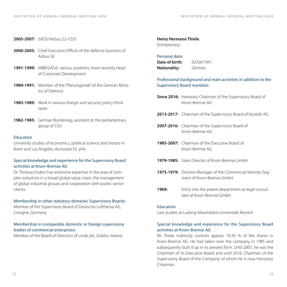**2005-2007:** EADS/Airbus, Co-CEO

- **2000-2005:** Chief Executive Officer of the defence business of Airbus SE
- **1991-1999:** MBB/DASA, various positions, most recently Head of Corporate Development
- **1989-1991:** Member of the "Planungsstab" of the German Ministry of Defence
- **1985-1989:** Work in various foreign and security policy think tanks
- **1982-1985:** German Bundestag, assistant at the parliamentary group of CSU

#### Education

University studies of economics, political science and history in Bonn and Los Angeles, doctorate Dr. phil.

#### Special knowledge and experience for the Supervisory Board activities at Knorr-Bremse AG

Dr. Thomas Enders has extensive expertise in the area of complex industries in a broad global value chain, the management of global industrial groups and cooperation with public-sector clients.

#### Membership in other statutory domestic Supervisory Boards:

Member of the Supervisory Board of Deutsche Lufthansa AG, Cologne, Germany

#### Membership in comparable domestic or foreign supervisory bodies of commercial enterprises:

Member of the Board of Directors of Linde plc, Dublin; Ireland

#### **Heinz Hermann Thiele**  Entrepreneur

#### Personal data:

| Date of birth: | 02/04/1941 |
|----------------|------------|
| Nationality:   | German     |

#### Professional background and main activities in addition to the Supervisory Board mandate:

**Since 2016:** Honorary Chairman of the Supervisory Board of Knorr-Bremse AG

- 2013-2017: Chairman of the Supervisory Board of Vossloh AG
- 2007-2016: Chairman of the Supervisory Board of Knorr-Bremse AG
- **1985-2007:** Chairman of the Executive Board of Knorr-Bremse AG
- **1979-1985:** Sales Director of Knorr-Bremse GmbH
- **1975-1979:** Division Manager of the Commercial Vehicles Segment of Knorr-Bremse GmbH
- **1969:** Entry into the patent department as legal consultant at Knorr-Bremse GmbH

#### Education

Law studies at Ludwig-Maximilians-Universität Munich

#### Special knowledge and experience for the Supervisory Board activities at Knorr-Bremse AG

Mr Thiele indirectly controls approx. 70.35 % of the shares in Knorr-Bremse AG. He had taken over the company in 1985 and subsequently built it up in its present form. Until 2007, he was the Chairman of its Executive Board and until 2016, Chairman of the Supervisory Board of the Company, of which he is now Honorary Chairman.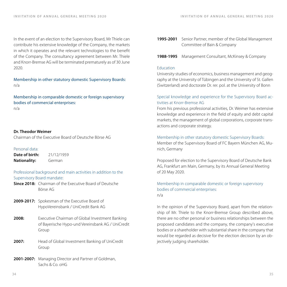In the event of an election to the Supervisory Board, Mr Thiele can contribute his extensive knowledge of the Company, the markets in which it operates and the relevant technologies to the benefit of the Company. The consultancy agreement between Mr. Thiele and Knorr-Bremse AG will be terminated prematurely as of 30 June 2020.

Membership in other statutory domestic Supervisory Boards: n/a

Membership in comparable domestic or foreign supervisory bodies of commercial enterprises: n/a

#### **Dr. Theodor Weimer**

Chairman of the Executive Board of Deutsche Börse AG

#### Personal data:

**Date of birth:** 21/12/1959 **Nationality:** German

Professional background and main activities in addition to the Supervisory Board mandate:

**Since 2018:** Chairman of the Executive Board of Deutsche Börse AG

**2009-2017:** Spokesman of the Executive Board of HypoVereinsbank / UniCredit Bank AG

**2008:** Executive Chairman of Global Investment Banking of Bayerische Hypo-und Vereinsbank AG / UniCredit Group

**2007:** Head of Global Investment Banking of UniCredit Group

**2001-2007:** Managing Director and Partner of Goldman, Sachs & Co. oHG

- **1995-2001** Senior Partner, member of the Global Management Committee of Bain & Company
- **1988-1995** Management Consultant, McKinsey & Company

#### Education

University studies of economics, business management and geography at the University of Tübingen and the University of St. Gallen (Switzerland) and doctorate Dr. rer. pol. at the University of Bonn

## Special knowledge and experience for the Supervisory Board activities at Knorr-Bremse AG

From his previous professional activities, Dr. Weimer has extensive knowledge and experience in the field of equity and debt capital markets, the management of global corporations, corporate transactions and corporate strategy.

Membership in other statutory domestic Supervisory Boards: Member of the Supervisory Board of FC Bayern München AG, Munich, Germany

Proposed for election to the Supervisory Board of Deutsche Bank AG, Frankfurt am Main, Germany, by its Annual General Meeting of 20 May 2020.

#### Membership in comparable domestic or foreign supervisory bodies of commercial enterprises: n/a

In the opinion of the Supervisory Board, apart from the relationship of Mr. Thiele to the Knorr-Bremse Group described above, there are no other personal or business relationships between the proposed candidates and the company, the company's executive bodies or a shareholder with substantial share in the company that would be regarded as decisive for the election decision by an objectively judging shareholder.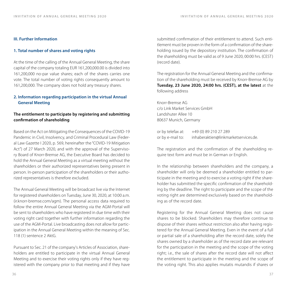#### **III. Further Information**

#### **1. Total number of shares and voting rights**

At the time of the calling of the Annual General Meeting, the share capital of the company totaling EUR 161,200,000.00 is divided into 161,200,000 no-par value shares; each of the shares carries one vote. The total number of voting rights consequently amount to 161,200,000. The company does not hold any treasury shares.

# **2. Information regarding participation in the virtual Annual General Meeting**

# **The entitlement to participate by registering and submitting confirmation of shareholding**

Based on the Act on Mitigating the Consequences of the COVID-19 Pandemic in Civil, Insolvency, and Criminal Procedural Law (Federal Law Gazette I 2020, p. 569, hereinafter the "COVID-19 Mitigation Act") of 27 March 2020, and with the approval of the Supervisory Board of Knorr-Bremse AG, the Executive Board has decided to hold the Annual General Meeting as a virtual meeting without the shareholders or their authorized representatives being present in person. In-person participation of the shareholders or their authorized representatives is therefore excluded.

The Annual General Meeting will be broadcast live via the Internet for registered shareholders on Tuesday, June 30, 2020, at 10:00 a.m. (ir.knorr-bremse.com/agm). The personal access data required to follow the entire Annual General Meeting via the AGM-Portal will be sent to shareholders who have registered in due time with their voting right card together with further information regarding the use of the AGM-Portal. Live broadcasting does not allow for participation in the Annual General Meeting within the meaning of Sec. 118 (1) sentence 2 AktG.

Pursuant to Sec. 21 of the company's Articles of Association, shareholders are entitled to participate in the virtual Annual General Meeting and to exercise their voting rights only if they have registered with the company prior to that meeting and if they have

submitted confirmation of their entitlement to attend. Such entitlement must be proven in the form of a confirmation of the shareholding issued by the depository institution. The confirmation of the shareholding must be valid as of 9 June 2020, 00:00 hrs. (CEST) (record date).

The registration for the Annual General Meeting and the confirmation of the shareholding must be received by Knorr-Bremse AG by **Tuesday, 23 June 2020, 24:00 hrs. (CEST), at the latest** at the following address

Knorr-Bremse AG c/o Link Market Services GmbH Landshuter Allee 10 80637 Munich, Germany

| or by telefax at: | +49 (0) 89 210 27 289                |
|-------------------|--------------------------------------|
| or by e-mail to:  | inhaberaktien@linkmarketservices.de. |

The registration and the confirmation of the shareholding require text form and must be in German or English.

In the relationship between shareholders and the company, a shareholder will only be deemed a shareholder entitled to participate in the meeting and to exercise a voting right if the shareholder has submitted the specific confirmation of the shareholding by the deadline. The right to participate and the scope of the voting right are determined exclusively based on the shareholding as of the record date.

Registering for the Annual General Meeting does not cause shares to be blocked. Shareholders may therefore continue to dispose of their shares without restriction also after having registered for the Annual General Meeting. Even in the event of a full or partial sale of a shareholding after the record date, solely the shares owned by a shareholder as of the record date are relevant for the participation in the meeting and the scope of the voting right; i.e., the sale of shares after the record date will not affect the entitlement to participate in the meeting and the scope of the voting right. This also applies mutatis mutandis if shares or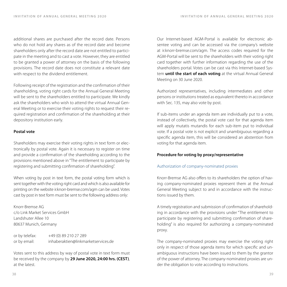additional shares are purchased after the record date. Persons who do not hold any shares as of the record date and become shareholders only after the record date are not entitled to participate in the meeting and to cast a vote. However, they are entitled to be granted a power of attorney on the basis of the following provisions. The record date does not constitute a relevant date with respect to the dividend entitlement.

Following receipt of the registration and the confirmation of their shareholding, voting right cards for the Annual General Meeting will be sent to the shareholders entitled to participate. We kindly ask the shareholders who wish to attend the virtual Annual General Meeting or to exercise their voting rights to request their required registration and confirmation of the shareholding at their depository institution early.

#### **Postal vote**

Shareholders may exercise their voting rights in text form or electronically by postal vote. Again it is necessary to register on time and provide a confirmation of the shareholding according to the provisions mentioned above in "The entitlement to participate by registering and submitting confirmation of shareholding".

When voting by post in text form, the postal voting form which is sent together with the voting right card and which is also available for printing on the website ir.knorr-bremse.com/agm can be used. Votes cast by post in text form must be sent to the following address only:

Knorr-Bremse AG c/o Link Market Services GmbH Landshuter Allee 10 80637 Munich, Germany

or by telefax: +49 (0) 89 210 27 289 or by email: inhaberaktien@linkmarketservices.de

Votes sent to this address by way of postal vote in text form must be received by the company by **29 June 2020, 24:00 hrs. (CEST)**, at the latest.

Our Internet-based AGM-Portal is available for electronic absentee voting and can be accessed via the company's website at ir.knorr-bremse.com/agm. The access codes required for the AGM-Portal will be sent to the shareholders with their voting right card together with further information regarding the use of the shareholders portal. Votes can be cast via this Internet-based System **until the start of each voting** at the virtual Annual General Meeting on 30 June 2020.

Authorized representatives, including intermediates and other persons or institutions treated as equivalent thereto in accordance with Sec. 135, may also vote by post.

If sub-items under an agenda item are individually put to a vote, instead of collectively, the postal vote cast for that agenda item will apply mutatis mutandis for each sub-item put to individual vote. If a postal vote is not explicit and unambiguous regarding a specific agenda item, this will be considered an abstention from voting for that agenda item.

#### **Procedure for voting by proxy/representative**

#### Authorization of company-nominated proxies

Knorr-Bremse AG also offers to its shareholders the option of having company-nominated proxies represent them at the Annual General Meeting subject to and in accordance with the instructions issued by them.

A timely registration and submission of confirmation of shareholding in accordance with the provisions under "The entitlement to participate by registering and submitting confirmation of shareholding" is also required for authorizing a company-nominated proxy.

The company-nominated proxies may exercise the voting right only in respect of those agenda items for which specific and unambiguous instructions have been issued to them by the grantor of the power of attorney. The company-nominated proxies are under the obligation to vote according to instructions.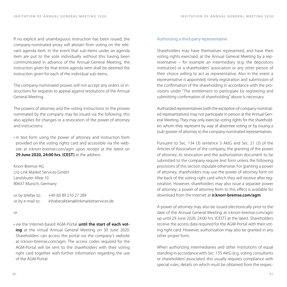If no explicit and unambiguous instruction has been issued, the company-nominated proxy will abstain from voting on the relevant agenda item. In the event that sub-items under an agenda item are put to the vote individually without this having been communicated in advance of the Annual General Meeting, the instruction given for that entire agenda item shall be deemed the instruction given for each of the individual sub-items.

The company-nominated proxies will not accept any orders or instructions for requests to appeal against resolutions of the Annual General Meeting.

The powers of attorney and the voting instructions to the proxies nominated by the company may be issued via the following; this also applies for changes or a revocation of the power of attorney and instructions:

• in text form using the power of attorney and instruction form provided on the voting rights card and accessible via the website at ir.knorr-bremse.com/agm upon receipt at the latest on **29 June 2020, 24:00 hrs. (CEST)** at the address

Knorr-Bremse AG c/o Link Market Services GmbH Landshuter Allee 10 80637 Munich, Germany

or by telefax to: +49 (0) 89 210 27 289 or by e-mail to: inhaberaktien@linkmarketservices.de

#### $\alpha$ r

• via the Internet-based AGM-Portal **until the start of each voting** at the virtual Annual General Meeting on 30 June 2020. Shareholders can access the portal via the company's website at ir.knorr-bremse.com/agm. The access codes required for the AGM-Portal will be sent to the shareholders with their voting right card together with further information regarding the use of the AGM-Portal.

#### Authorizing a third-party representative

Shareholders may have themselves represented, and have their voting rights exercised, at the Annual General Meeting by a representative – for example an intermediary (e.g. the depository institution) or a shareholders' association or any other person of their choice willing to act as representative. Also in the event a representative is appointed, timely registration and submission of the confirmation of the shareholding in accordance with the provisions under "The entitlement to participate by registering and submitting confirmation of shareholding" above is necessary.

Authorized representatives (with the exception of company-nominated representatives) may not participate in person at the Annual General Meeting. They may only exercise voting rights for the shareholders whom they represent by way of absentee voting or by issuing a (sub-)power of attorney to the company-nominated representatives.

Pursuant to Sec. 134 (3) sentence 3 AktG and Sec. 21 (3) of the Articles of Association of the company, the granting of the power of attorney, its revocation and the authorization document to be submitted to the company require text form unless the following provisions of this section stipulate otherwise. For granting a power of attorney, shareholders may use the power of attorney form on the back of the voting right card which they will receive after registration. However, shareholders may also issue a separate power of attorney; a power of attorney form to this effect is available for download from the Internet at **ir.knorr-bremse.com/agm**

A power of attorney may also be issued electronically prior to the date of the Annual General Meeting at ir.knorr-bremse.com/agm up until 29 June 2020, 24:00 hrs. (CEST) at the latest. Shareholders receive the access data required for the AGM-Portal with their voting right card. However, authorization may also be granted in any other proper form.

When authorizing intermediaries and other institutions of equal standing in accordance with Sec. 135 AktG (e.g. voting consultants or shareholders' associates) this usually requires compliance with special rules, details on which must be obtained from the respec-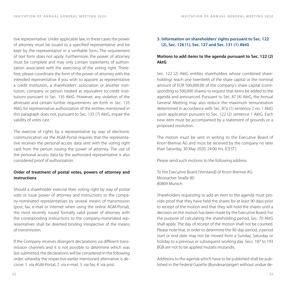tive representative. Under applicable law, in these cases the power of attorney must be issued to a specified representative and be kept by the representative in a verifiable form. The requirement of text form does not apply. Furthermore, the power of attorney must be complete and may only contain statements of authorization associated with the exercising of the voting right. Therefore, please coordinate the form of the power of attorney with the intended representative if you wish to appoint as representative a credit institution, a shareholders' association or another institution, company or person treated as equivalent to credit institutions pursuant to Sec. 135 AktG. However, any violation of the aforesaid and certain further requirements set forth in Sec. 135 AktG for representative authorization of the entities mentioned in this paragraph does not, pursuant to Sec. 135 (7) AktG, impair the validity of votes cast.

The exercise of rights by a representative by way of electronic communication via the AGM-Portal requires that the representative receives the personal access data sent with the voting right card from the person issuing the power of attorney. The use of the personal access data by the authorized representative is also considered proof of authorization.

#### **Order of treatment of postal votes, powers of attorney and instructions**

Should a shareholder exercise their voting right by way of postal vote or issue power of attorney and instructions to the company-nominated representatives by several means of transmission (post, fax, e-mail or Internet when using the online AGM-Portal), the most recently issued formally valid power of attorney with the corresponding instructions to the company-nominated representatives shall be deemed binding irrespective of the means of transmission.

If the Company receives divergent declarations via different transmission channels and it is not possible to determine which was last submitted, the declarations will be considered in the following order, whereby the respective earlier mentioned alternative is decisive: 1. via AGM-Portal, 2. via e-mail, 3. via fax, 4. via post.

#### **3. Information on shareholders' rights pursuant to Sec. 122 (2), Sec. 126 (1), Sec. 127 and Sec. 131 (1) AktG**

# **Motions to add items to the agenda pursuant to Sec. 122 (2) AktG**

Sec. 122 (2) AktG entitles shareholders whose combined shareholdings reach one twentieth of the share capital or the nominal amount of EUR 500,000.00 of the company's share capital (corresponding to 500,000 shares) to request that items be added to the agenda and announced. Pursuant to Sec. 87 (4) AktG, the Annual General Meeting may also reduce the maximum remuneration determined in accordance with Sec. 87a (1) sentence 2 no. 1 AktG upon application pursuant to Sec. 122 (2) sentence 1 AktG. Each new item must be accompanied by a statement of grounds or a proposed resolution.

The motion must be sent in writing to the Executive Board of Knorr-Bremse AG and must be received by the company no later than Saturday, 30 May 2020, 24:00 hrs. (CEST).

Please send such motions to the following address:

To the Executive Board (Vorstand) of Knorr-Bremse AG Moosacher Straße 80 80809 Munich

Shareholders requesting to add an item to the agenda must provide proof that they have held the shares for at least 90 days prior to receipt of the motion and that they will hold the shares until a decision on the motion has been made by the Executive Board. For the purpose of calculating the shareholding period, Sec. 70 AktG shall apply. The day of receipt of the motion shall not be counted. Please note that, in order to determine the 90-day-period, a period start or end date may not be moved from a Sunday, Saturday or holiday to a previous or subsequent working day. Secs. 187 to 193 BGB are not to be applied mutatis mutandis.

Additions to the agenda which have to be published shall be published in the Federal Gazette (Bundesanzeiger) without undue de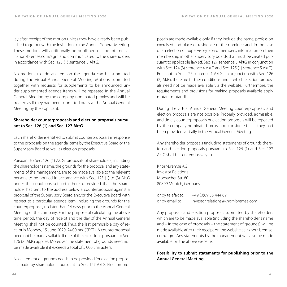lay after receipt of the motion unless they have already been published together with the invitation to the Annual General Meeting. These motions will additionally be published on the Internet at ir.knorr-bremse.com/agm and communicated to the shareholders in accordance with Sec. 125 (1) sentence 3 AktG.

No motions to add an item on the agenda can be submitted during the virtual Annual General Meeting. Motions submitted together with requests for supplements to be announced under supplemented agenda items will be repeated in the Annual General Meeting by the company-nominated proxies and will be treated as if they had been submitted orally at the Annual General Meeting by the applicant.

# **Shareholder counterproposals and election proposals pursuant to Sec. 126 (1) and Sec. 127 AktG**

Each shareholder is entitled to submit counterproposals in response to the proposals on the agenda items by the Executive Board or the Supervisory Board as well as election proposals.

Pursuant to Sec. 126 (1) AktG, proposals of shareholders, including the shareholder's name, the grounds for the proposal and any statements of the management, are to be made available to the relevant persons to be notified in accordance with Sec. 125 (1) to (3) AktG under the conditions set forth therein, provided that the shareholder has sent to the address below a counterproposal against a proposal of the Supervisory Board and/or the Executive Board with respect to a particular agenda item, including the grounds for the counterproposal, no later than 14 days prior to the Annual General Meeting of the company. For the purpose of calculating the above time period, the day of receipt and the day of the Annual General Meeting shall not be counted. Thus, the last permissible day of receipt is Monday, 15 June 2020, 24:00 hrs. (CEST). A counterproposal need not be made available if one of the exclusions pursuant to Sec. 126 (2) AktG applies. Moreover, the statement of grounds need not be made available if it exceeds a total of 5,000 characters.

No statement of grounds needs to be provided for election proposals made by shareholders pursuant to Sec. 127 AktG. Election proposals are made available only if they include the name, profession exercised and place of residence of the nominee and, in the case of an election of Supervisory Board members, information on their membership in other supervisory boards that must be created pursuant to applicable law (cf. Sec. 127 sentence 3 AktG in conjunction with Sec. 124 (3) sentence 4 AktG and Sec. 125 (1) sentence 5 AktG). Pursuant to Sec. 127 sentence 1 AktG in conjunction with Sec. 126 (2) AktG, there are further conditions under which election proposals need not be made available via the website. Furthermore, the requirements and provisions for making proposals available apply mutatis mutandis.

During the virtual Annual General Meeting counterproposals and election proposals are not possible. Properly provided, admissible, and timely counterproposals or election proposals will be repeated by the company-nominated proxy and considered as if they had been provided verbally in the Annual General Meeting.

Any shareholder proposals (including statements of grounds therefor) and election proposals pursuant to Sec. 126 (1) and Sec. 127 AktG shall be sent exclusively to

Knorr-Bremse AG Investor Relations Moosacher Str. 80 80809 Munich, Germany

or by telefax to: +49 (0)89 35 444 69 or by email to: investor.relations@knorr-bremse.com

Any proposals and election proposals submitted by shareholders which are to be made available (including the shareholder's name and – in the case of proposals – the statement of grounds) will be made available after their receipt on the website at ir.knorr-bremse. com/agm. Any statements by the management will also be made available on the above website.

# **Possibility to submit statements for publishing prior to the Annual General Meeting**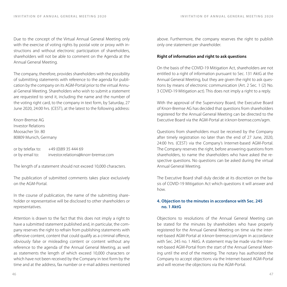Due to the concept of the Virtual Annual General Meeting only with the exercise of voting rights by postal vote or proxy with instructions and without electronic participation of shareholders, shareholders will not be able to comment on the Agenda at the Annual General Meeting.

The company, therefore, provides shareholders with the possibility of submitting statements with reference to the agenda for publication by the company on its AGM-Portal prior to the virtual Annual General Meeting. Shareholders who wish to submit a statement are requested to send it, including the name and the number of the voting right card, to the company in text form, by Saturday, 27 June 2020, 24:00 hrs. (CEST), at the latest to the following address:

Knorr-Bremse AG Investor Relations Moosacher Str. 80 80809 Munich, Germany

or by telefax to: +49 (0)89 35 444 69 or by email to: investor.relations@knorr-bremse.com

The length of a statement should not exceed 10,000 characters.

The publication of submitted comments takes place exclusively on the AGM-Portal.

In the course of publication, the name of the submitting shareholder or representative will be disclosed to other shareholders or representatives.

Attention is drawn to the fact that this does not imply a right to have a submitted statement published and, in particular, the company reserves the right to refrain from publishing statements with offensive content, content that could qualify as a criminal offence, obviously false or misleading content or content without any reference to the agenda of the Annual General Meeting, as well as statements the length of which exceed 10,000 characters or which have not been received by the Company in text form by the time and at the address, fax number or e-mail address mentioned above. Furthermore, the company reserves the right to publish only one statement per shareholder.

#### **Right of information and right to ask questions**

On the basis of the COVID-19 Mitigation Act, shareholders are not entitled to a right of information pursuant to Sec. 131 AktG at the Annual General Meeting, but they are given the right to ask questions by means of electronic communication (Art. 2 Sec. 1 (2) No. 3 COVID-19 Mitigation act). This does not imply a right to a reply.

With the approval of the Supervisory Board, the Executive Board of Knorr-Bremse AG has decided that questions from shareholders registered for the Annual General Meeting can be directed to the Executive Board via the AGM-Portal at ir.knorr-bremse.com/agm.

Questions from shareholders must be received by the Company after timely registration no later than the end of 27 June, 2020, 24:00 hrs. (CEST) via the Company's Internet-based AGM-Portal. The Company reserves the right, before answering questions from shareholders, to name the shareholders who have asked the respective questions. No questions can be asked during the virtual Annual General Meeting.

The Executive Board shall duly decide at its discretion on the basis of COVID-19 Mitigation Act which questions it will answer and how.

#### **4. Objection to the minutes in accordance with Sec. 245 no. 1 AktG**

Objections to resolutions of the Annual General Meeting can be stated for the minutes by shareholders who have properly registered for the Annual General Meeting on time via the internet-based AGM-Portal at ir.knorr-bremse.com/agm in accordance with Sec. 245 no. 1 AktG. A statement may be made via the Internet-based AGM-Portal from the start of the Annual General Meeting until the end of the meeting. The notary has authorized the Company to accept objections via the Internet-based AGM-Portal and will receive the objections via the AGM-Portal.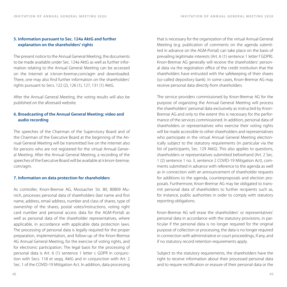#### **5. Information pursuant to Sec. 124a AktG and further explanation on the shareholders' rights**

The present notice to the Annual General Meeting, the documents to be made available under Sec. 124a AktG as well as further information relating to the Annual General Meeting can be accessed on the Internet at ir.knorr-bremse.com/agm and downloaded. There, one may also find further information on the shareholders' rights pursuant to Secs. 122 (2), 126 (1), 127, 131 (1) AktG.

After the Annual General Meeting, the voting results will also be published on the aforesaid website.

# **6. Broadcasting of the Annual General Meeting; video and audio recording**

The speeches of the Chairman of the Supervisory Board and of the Chairman of the Executive Board at the beginning of the Annual General Meeting will be transmitted live on the Internet also for persons who are not registered for the virtual Annual General Meeting. After the Annual General Meeting, a recording of the speeches of the Executive Board will be available at ir.knorr-bremse. com/agm.

#### **7. Information on data protection for shareholders**

As controller, Knorr-Bremse AG, Moosacher Str. 80, 80809 Munich, processes personal data of shareholders (last name and first name, address, email address, number and class of shares, type of ownership of the shares, postal votes/instructions, voting right card number and personal access data for the AGM-Portal) as well as personal data of the shareholder representatives, where applicable, in accordance with applicable data protection laws. The processing of personal data is legally required for the proper preparation, implementation, and follow-up of the Knorr-Bremse AG Annual General Meeting, for the exercise of voting rights, and for electronic participation. The legal basis for the processing of personal data is Art. 6 (1) sentence 1 letter c GDPR in conjunction with Secs. 118 et seqq. AktG and in conjunction with Art. 2 Sec. 1 of the COVID-19 Mitigation Act. In addition, data processing that is necessary for the organization of the virtual Annual General Meeting (e.g. publication of comments on the agenda submitted in advance on the AGM-Portal) can take place on the basis of prevailing legitimate interests (Art. 6 (1) sentence 1 letter f GDPR). Knorr-Bremse AG generally will receive the shareholders' personal data via the registration office of the credit institution that the shareholders have entrusted with the safekeeping of their shares (so-called depository bank). In some cases, Knorr-Bremse AG may receive personal data directly from shareholders.

The service providers commissioned by Knorr-Bremse AG for the purpose of organizing the Annual General Meeting will process the shareholders' personal data exclusively as instructed by Knorr-Bremse AG and only to the extent this is necessary for the performance of the services commissioned. In addition, personal data of shareholders or representatives who exercise their voting rights will be made accessible to other shareholders and representatives who participate in the virtual Annual General Meeting electronically subject to the statutory requirements (in particular via the list of participants, Sec. 129 AktG). This also applies to questions, shareholders or representatives submitted beforehand (Art. 2 Sec. 1 (2) sentence 1 no. 3, sentence 2 COVID-19 Mitigation Act), comments submitted in advance with reference to the agenda as well as in connection with an announcement of shareholder requests for additions to the agenda, counterproposals and election proposals. Furthermore, Knorr-Bremse AG may be obligated to transmit personal data of shareholders to further recipients such as, for instance, public authorities in order to comply with statutory reporting obligations.

Knorr-Bremse AG will erase the shareholders' or representatives' personal data in accordance with the statutory provisions, in particular if the personal data is no longer required for the original purpose of collection or processing, the data is no longer required in connection with administrative or court proceedings, if any, and if no statutory record retention requirements apply.

Subject to the statutory requirements, the shareholders have the right to receive information about their processed personal data and to require rectification or erasure of their personal data or the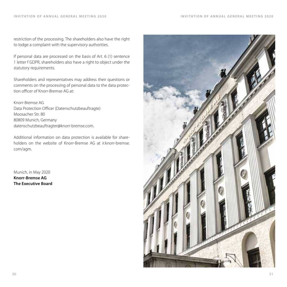restriction of the processing. The shareholders also have the right to lodge a complaint with the supervisory authorities.

If personal data are processed on the basis of Art. 6 (1) sentence 1 letter f GDPR, shareholders also have a right to object under the statutory requirements.

Shareholders and representatives may address their questions or comments on the processing of personal data to the data protection officer of Knorr-Bremse AG at:

Knorr-Bremse AG Data Protection Officer (Datenschutzbeauftragte) Moosacher Str. 80 80809 Munich, Germany datenschutzbeauftragter@knorr-bremse.com.

Additional information on data protection is available for shareholders on the website of Knorr-Bremse AG at ir.knorr-bremse. com/agm.

Munich, in May 2020 **Knorr-Bremse AG The Executive Board**